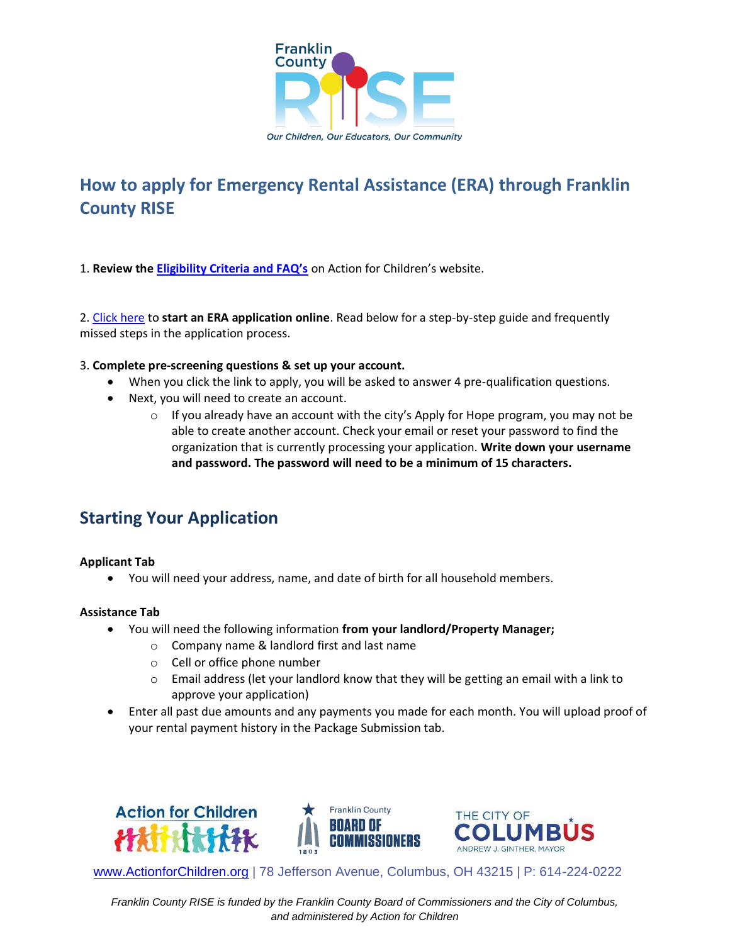

# **How to apply for Emergency Rental Assistance (ERA) through Franklin County RISE**

1. **Review the [Eligibility Criteria and FAQ's](https://www.actionforchildren.org/wp-content/uploads/2022/06/ERA-FAQ-Final-w-Links-AFC-Edits.pdf)** on Action for Children's website.

2. [Click here](https://columbus.applyforhope.org/frank_era2_AFC#/) to **start an ERA application online**. Read below for a step-by-step guide and frequently missed steps in the application process.

### 3. **Complete pre-screening questions & set up your account.**

- When you click the link to apply, you will be asked to answer 4 pre-qualification questions.
- Next, you will need to create an account.
	- o If you already have an account with the city's Apply for Hope program, you may not be able to create another account. Check your email or reset your password to find the organization that is currently processing your application. **Write down your username and password. The password will need to be a minimum of 15 characters.**

## **Starting Your Application**

### **Applicant Tab**

• You will need your address, name, and date of birth for all household members.

### **Assistance Tab**

- You will need the following information **from your landlord/Property Manager;**
	- o Company name & landlord first and last name
	- o Cell or office phone number
	- o Email address (let your landlord know that they will be getting an email with a link to approve your application)
- Enter all past due amounts and any payments you made for each month. You will upload proof of your rental payment history in the Package Submission tab.



[www.ActionforChildren.org](http://www.actionforchildren.org/) | 78 Jefferson Avenue, Columbus, OH 43215 | P: 614-224-0222

*Franklin County RISE is funded by the Franklin County Board of Commissioners and the City of Columbus, and administered by Action for Children*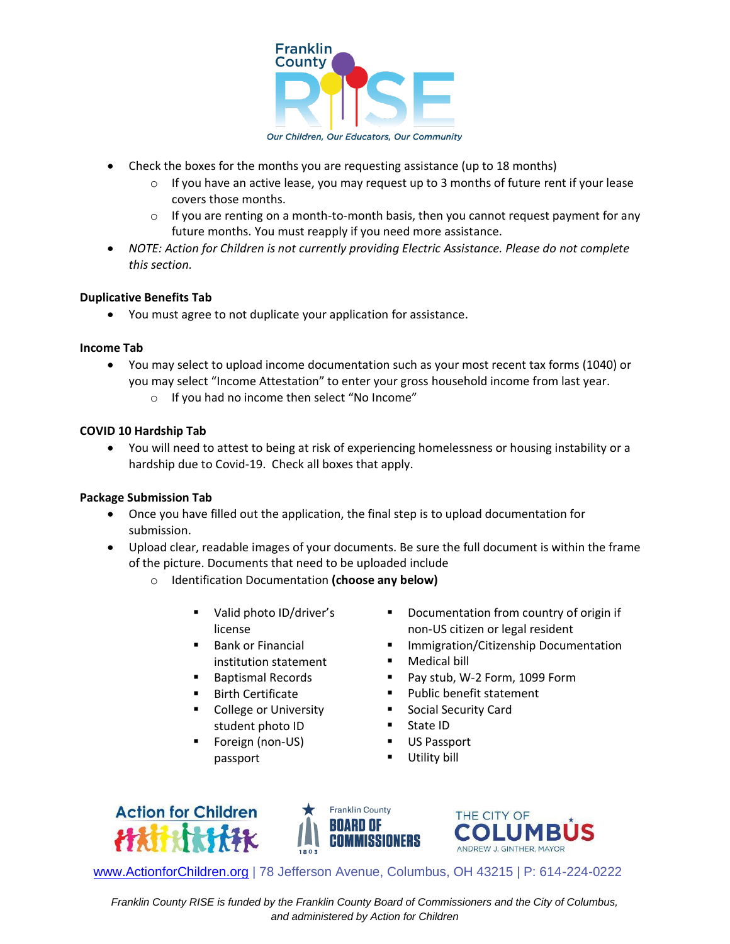

Our Children, Our Educators, Our Community

- Check the boxes for the months you are requesting assistance (up to 18 months)
	- $\circ$  If you have an active lease, you may request up to 3 months of future rent if your lease covers those months.
	- $\circ$  If you are renting on a month-to-month basis, then you cannot request payment for any future months. You must reapply if you need more assistance.
- *NOTE: Action for Children is not currently providing Electric Assistance. Please do not complete this section.*

### **Duplicative Benefits Tab**

• You must agree to not duplicate your application for assistance.

#### **Income Tab**

- You may select to upload income documentation such as your most recent tax forms (1040) or you may select "Income Attestation" to enter your gross household income from last year.
	- o If you had no income then select "No Income"

### **COVID 10 Hardship Tab**

• You will need to attest to being at risk of experiencing homelessness or housing instability or a hardship due to Covid-19. Check all boxes that apply.

### **Package Submission Tab**

- Once you have filled out the application, the final step is to upload documentation for submission.
- Upload clear, readable images of your documents. Be sure the full document is within the frame of the picture. Documents that need to be uploaded include
	- o Identification Documentation **(choose any below)**
		- Valid photo ID/driver's license
		- Bank or Financial institution statement
		- Baptismal Records
		- Birth Certificate
		- College or University student photo ID
		- Foreign (non-US) passport
- Documentation from country of origin if non-US citizen or legal resident
- Immigration/Citizenship Documentation
- Medical bill
- Pay stub, W-2 Form, 1099 Form
- Public benefit statement
- Social Security Card
- State ID
- US Passport
- **Utility bill**







[www.ActionforChildren.org](http://www.actionforchildren.org/) | 78 Jefferson Avenue, Columbus, OH 43215 | P: 614-224-0222

*Franklin County RISE is funded by the Franklin County Board of Commissioners and the City of Columbus, and administered by Action for Children*